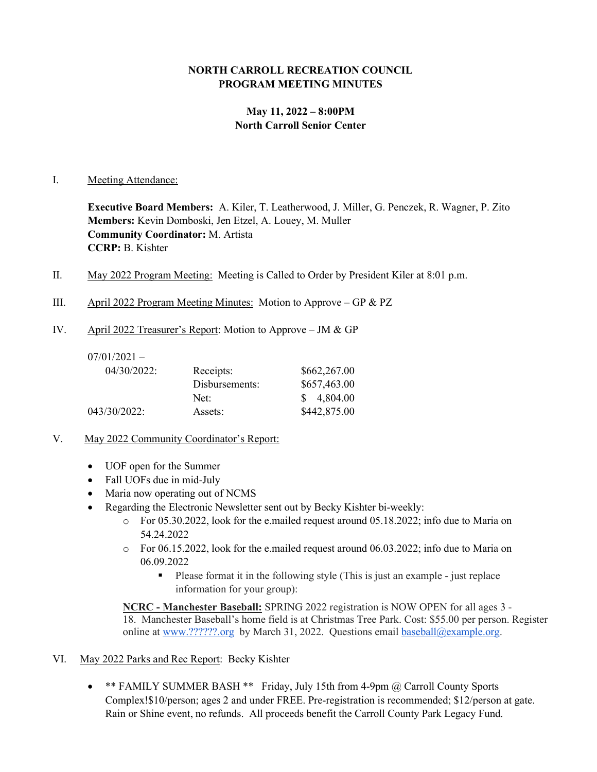## **NORTH CARROLL RECREATION COUNCIL PROGRAM MEETING MINUTES**

# **May 11, 2022 – 8:00PM North Carroll Senior Center**

#### I. Meeting Attendance:

**Executive Board Members:** A. Kiler, T. Leatherwood, J. Miller, G. Penczek, R. Wagner, P. Zito **Members:** Kevin Domboski, Jen Etzel, A. Louey, M. Muller **Community Coordinator:** M. Artista **CCRP:** B. Kishter

- II. May 2022 Program Meeting: Meeting is Called to Order by President Kiler at 8:01 p.m.
- III. April 2022 Program Meeting Minutes: Motion to Approve GP & PZ
- IV. April 2022 Treasurer's Report: Motion to Approve JM & GP

| $07/01/2021 -$ |                |              |
|----------------|----------------|--------------|
| 04/30/2022:    | Receipts:      | \$662,267.00 |
|                | Disbursements: | \$657,463.00 |
|                | Net:           | \$4,804.00   |
| 043/30/2022:   | Assets:        | \$442,875.00 |

- V. May 2022 Community Coordinator's Report:
	- UOF open for the Summer
	- Fall UOFs due in mid-July
	- Maria now operating out of NCMS
	- Regarding the Electronic Newsletter sent out by Becky Kishter bi-weekly:
		- $\circ$  For 05.30.2022, look for the e.mailed request around 05.18.2022; info due to Maria on 54.24.2022
		- o For 06.15.2022, look for the e.mailed request around 06.03.2022; info due to Maria on 06.09.2022
			- Please format it in the following style (This is just an example just replace information for your group):

**NCRC - Manchester Baseball:** SPRING 2022 registration is NOW OPEN for all ages 3 - 18. Manchester Baseball's home field is at Christmas Tree Park. Cost: \$55.00 per person. Register online at [www.??????.org](http://www.mayaasports.org/) by March 31, 2022. Questions email [baseball@example.org.](mailto:baseball@example.org)

- VI. May 2022 Parks and Rec Report: Becky Kishter
	- \*\* FAMILY SUMMER BASH \*\* Friday, July 15th from 4-9pm @ Carroll County Sports Complex!\$10/person; ages 2 and under FREE. Pre-registration is recommended; \$12/person at gate. Rain or Shine event, no refunds. All proceeds benefit the Carroll County Park Legacy Fund.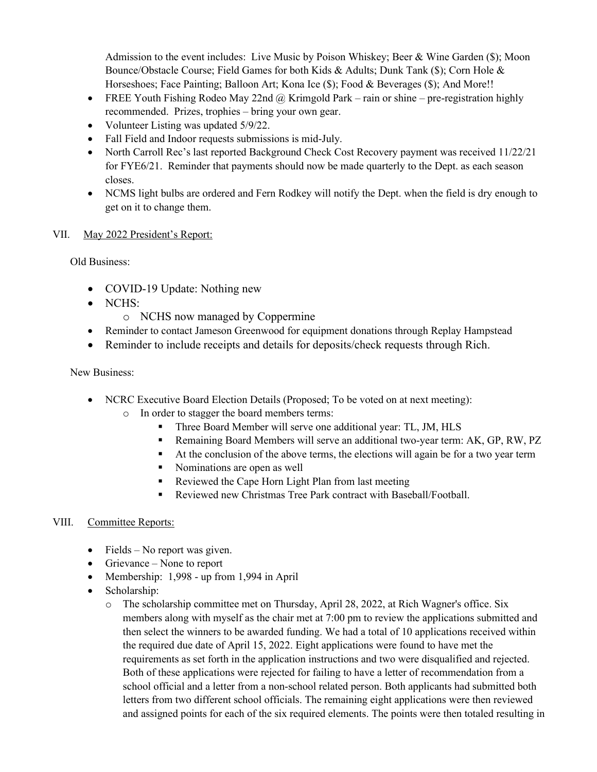Admission to the event includes: Live Music by Poison Whiskey; Beer & Wine Garden (\$); Moon Bounce/Obstacle Course; Field Games for both Kids & Adults; Dunk Tank (\$); Corn Hole & Horseshoes; Face Painting; Balloon Art; Kona Ice (\$); Food & Beverages (\$); And More!!

- FREE Youth Fishing Rodeo May 22nd  $\omega$  Krimgold Park rain or shine pre-registration highly recommended. Prizes, trophies – bring your own gear.
- Volunteer Listing was updated  $5/9/22$ .
- Fall Field and Indoor requests submissions is mid-July.
- North Carroll Rec's last reported Background Check Cost Recovery payment was received 11/22/21 for FYE6/21. Reminder that payments should now be made quarterly to the Dept. as each season closes.
- NCMS light bulbs are ordered and Fern Rodkey will notify the Dept. when the field is dry enough to get on it to change them.

### VII. May 2022 President's Report:

Old Business:

- COVID-19 Update: Nothing new
- NCHS:
	- o NCHS now managed by Coppermine
- Reminder to contact Jameson Greenwood for equipment donations through Replay Hampstead
- Reminder to include receipts and details for deposits/check requests through Rich.

### New Business:

- NCRC Executive Board Election Details (Proposed; To be voted on at next meeting):
	- o In order to stagger the board members terms:
		- Three Board Member will serve one additional year: TL, JM, HLS
		- Remaining Board Members will serve an additional two-year term: AK, GP, RW, PZ
		- At the conclusion of the above terms, the elections will again be for a two year term
		- Nominations are open as well
		- Reviewed the Cape Horn Light Plan from last meeting
		- Reviewed new Christmas Tree Park contract with Baseball/Football.

### VIII. Committee Reports:

- Fields No report was given.
- Grievance None to report
- Membership: 1,998 up from 1,994 in April
- Scholarship:
	- o The scholarship committee met on Thursday, April 28, 2022, at Rich Wagner's office. Six members along with myself as the chair met at 7:00 pm to review the applications submitted and then select the winners to be awarded funding. We had a total of 10 applications received within the required due date of April 15, 2022. Eight applications were found to have met the requirements as set forth in the application instructions and two were disqualified and rejected. Both of these applications were rejected for failing to have a letter of recommendation from a school official and a letter from a non-school related person. Both applicants had submitted both letters from two different school officials. The remaining eight applications were then reviewed and assigned points for each of the six required elements. The points were then totaled resulting in